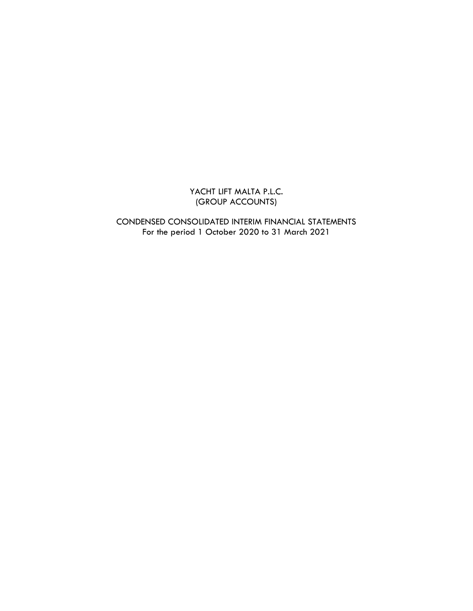# YACHT LIFT MALTA P.L.C. (GROUP ACCOUNTS)

CONDENSED CONSOLIDATED INTERIM FINANCIAL STATEMENTS For the period 1 October 2020 to 31 March 2021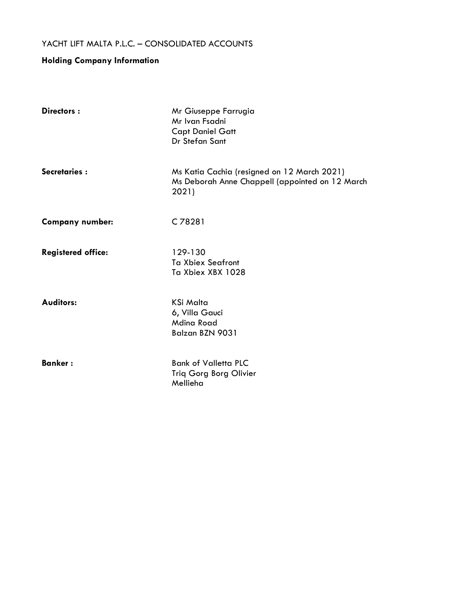# **Holding Company Information**

| Directors:                | Mr Giuseppe Farrugia<br>Mr Ivan Fsadni<br><b>Capt Daniel Gatt</b><br>Dr Stefan Sant                     |
|---------------------------|---------------------------------------------------------------------------------------------------------|
| <b>Secretaries:</b>       | Ms Katia Cachia (resigned on 12 March 2021)<br>Ms Deborah Anne Chappell (appointed on 12 March<br>2021) |
| <b>Company number:</b>    | C 78281                                                                                                 |
| <b>Registered office:</b> | 129-130<br><b>Ta Xbiex Seafront</b><br>Ta Xbiex XBX 1028                                                |
| <b>Auditors:</b>          | <b>KSi Malta</b><br>6, Villa Gauci<br><b>Mdina Road</b><br>Balzan BZN 9031                              |
| <b>Banker:</b>            | <b>Bank of Valletta PLC</b><br><b>Triq Gorg Borg Olivier</b><br>Mellieha                                |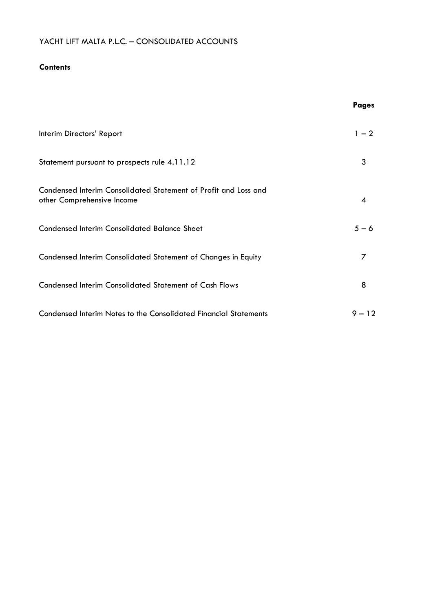# **Contents**

|                                                                                               | <b>Pages</b> |
|-----------------------------------------------------------------------------------------------|--------------|
| Interim Directors' Report                                                                     | $1 - 2$      |
| Statement pursuant to prospects rule 4.11.12                                                  | 3            |
| Condensed Interim Consolidated Statement of Profit and Loss and<br>other Comprehensive Income | 4            |
| <b>Condensed Interim Consolidated Balance Sheet</b>                                           | $5 - 6$      |
| Condensed Interim Consolidated Statement of Changes in Equity                                 | 7            |
| <b>Condensed Interim Consolidated Statement of Cash Flows</b>                                 | 8            |
| <b>Condensed Interim Notes to the Consolidated Financial Statements</b>                       | $9 - 12$     |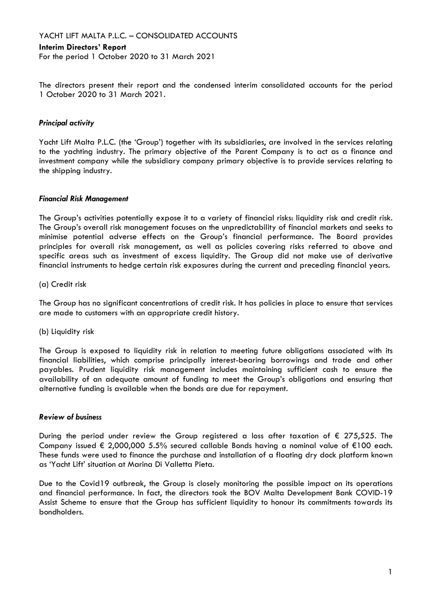#### **Interim Directors' Report**

For the period 1 October 2020 to 31 March 2021

The directors present their report and the condensed interim consolidated accounts for the period 1 October 2020 to 31 March 2021.

#### *Principal activity*

Yacht Lift Malta P.L.C. (the 'Group') together with its subsidiaries, are involved in the services relating to the yachting industry. The primary objective of the Parent Company is to act as a finance and investment company while the subsidiary company primary objective is to provide services relating to the shipping industry.

#### *Financial Risk Management*

The Group's activities potentially expose it to a variety of financial risks: liquidity risk and credit risk. The Group's overall risk management focuses on the unpredictability of financial markets and seeks to minimise potential adverse effects on the Group's financial performance. The Board provides principles for overall risk management, as well as policies covering risks referred to above and specific areas such as investment of excess liquidity. The Group did not make use of derivative financial instruments to hedge certain risk exposures during the current and preceding financial years.

(a) Credit risk

The Group has no significant concentrations of credit risk. It has policies in place to ensure that services are made to customers with an appropriate credit history.

(b) Liquidity risk

The Group is exposed to liquidity risk in relation to meeting future obligations associated with its financial liabilities, which comprise principally interest-bearing borrowings and trade and other payables. Prudent liquidity risk management includes maintaining sufficient cash to ensure the availability of an adequate amount of funding to meet the Group's obligations and ensuring that alternative funding is available when the bonds are due for repayment.

#### *Review of business*

During the period under review the Group registered a loss after taxation of  $\epsilon$  275,525. The Company issued € 2,000,000 5.5% secured callable Bonds having a nominal value of €100 each. These funds were used to finance the purchase and installation of a floating dry dock platform known as 'Yacht Lift' situation at Marina Di Valletta Pieta.

Due to the Covid19 outbreak, the Group is closely monitoring the possible impact on its operations and financial performance. In fact, the directors took the BOV Malta Development Bank COVID-19 Assist Scheme to ensure that the Group has sufficient liquidity to honour its commitments towards its bondholders.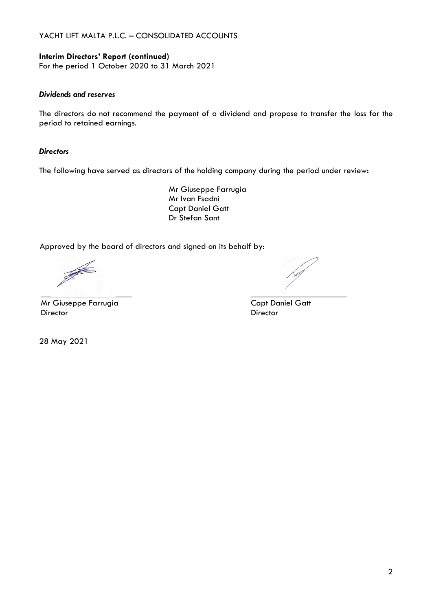# **Interim Directors' Report (continued)**

For the period 1 October 2020 to 31 March 2021

### *Dividends and reserves*

The directors do not recommend the payment of a dividend and propose to transfer the loss for the period to retained earnings.

#### *Directors*

The following have served as directors of the holding company during the period under review:

Mr Giuseppe Farrugia Mr Ivan Fsadni Capt Daniel Gatt Dr Stefan Sant

Approved by the board of directors and signed on its behalf by:

Mr Giuseppe Farrugia Capt Daniel Gatt Director Director

28 May 2021

\_\_\_\_\_\_\_\_\_\_\_\_\_\_\_\_\_\_\_\_\_ \_\_\_\_\_\_\_\_\_\_\_\_\_\_\_\_\_\_\_\_\_\_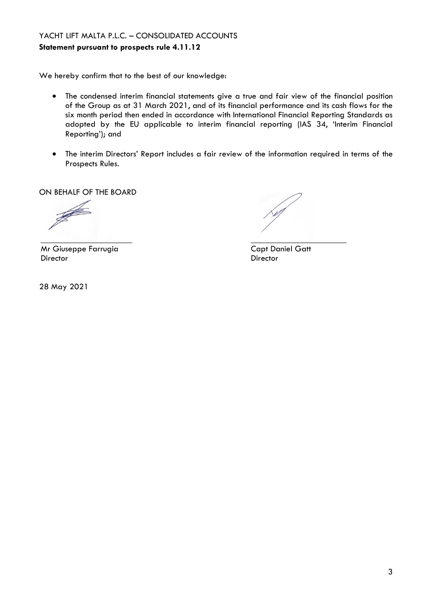**Statement pursuant to prospects rule 4.11.12**

We hereby confirm that to the best of our knowledge:

- The condensed interim financial statements give a true and fair view of the financial position of the Group as at 31 March 2021, and of its financial performance and its cash flows for the six month period then ended in accordance with International Financial Reporting Standards as adopted by the EU applicable to interim financial reporting (IAS 34, 'Interim Financial Reporting'); and
- The interim Directors' Report includes a fair review of the information required in terms of the Prospects Rules.

ON BEHALF OF THE BOARD

J \_\_\_\_\_\_\_\_\_\_\_\_\_\_\_\_\_\_\_\_\_ \_\_\_\_\_\_\_\_\_\_\_\_\_\_\_\_\_\_\_\_\_\_

Mr Giuseppe Farrugia Capt Daniel Gatt Director Director

28 May 2021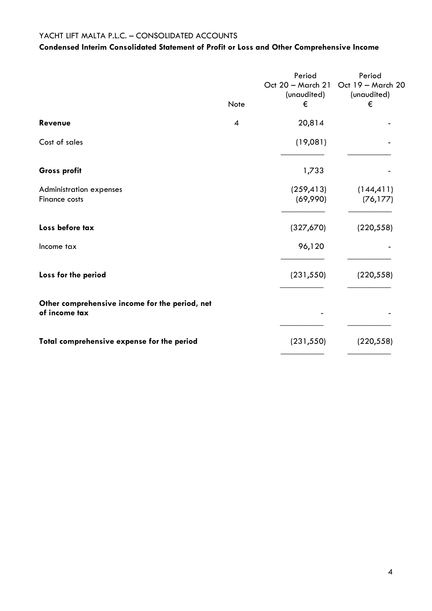# **Condensed Interim Consolidated Statement of Profit or Loss and Other Comprehensive Income**

|                                                                 | Note | Period<br>(unaudited)<br>€ | Period<br>Oct 20 - March 21 Oct 19 - March 20<br>(unaudited)<br>€ |
|-----------------------------------------------------------------|------|----------------------------|-------------------------------------------------------------------|
| Revenue                                                         | 4    | 20,814                     |                                                                   |
| Cost of sales                                                   |      | (19,081)                   |                                                                   |
| Gross profit                                                    |      | 1,733                      |                                                                   |
| <b>Administration expenses</b><br>Finance costs                 |      | (259, 413)<br>(69,990)     | (144, 411)<br>(76, 177)                                           |
| Loss before tax                                                 |      | (327,670)                  | (220, 558)                                                        |
| Income tax                                                      |      | 96,120                     |                                                                   |
| Loss for the period                                             |      | (231, 550)                 | (220, 558)                                                        |
| Other comprehensive income for the period, net<br>of income tax |      |                            |                                                                   |
| Total comprehensive expense for the period                      |      | (231, 550)                 | (220, 558)                                                        |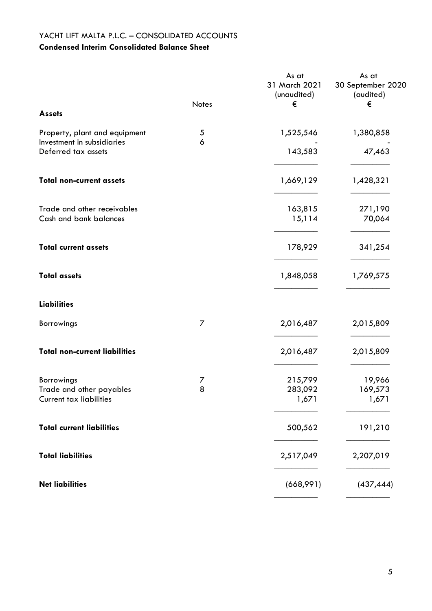# YACHT LIFT MALTA P.L.C. – CONSOLIDATED ACCOUNTS **Condensed Interim Consolidated Balance Sheet**

|                                                            | Notes | As at<br>31 March 2021<br>(unaudited)<br>€ | As at<br>30 September 2020<br>(audited)<br>€ |
|------------------------------------------------------------|-------|--------------------------------------------|----------------------------------------------|
| <b>Assets</b>                                              |       |                                            |                                              |
| Property, plant and equipment                              | 5     | 1,525,546                                  | 1,380,858                                    |
| Investment in subsidiaries<br>Deferred tax assets          | 6     | 143,583                                    | 47,463                                       |
| <b>Total non-current assets</b>                            |       | 1,669,129                                  | 1,428,321                                    |
| Trade and other receivables<br>Cash and bank balances      |       | 163,815<br>15,114                          | 271,190<br>70,064                            |
|                                                            |       |                                            |                                              |
| <b>Total current assets</b>                                |       | 178,929                                    | 341,254                                      |
| <b>Total assets</b>                                        |       | 1,848,058                                  | 1,769,575                                    |
| <b>Liabilities</b>                                         |       |                                            |                                              |
| Borrowings                                                 | 7     | 2,016,487                                  | 2,015,809                                    |
| <b>Total non-current liabilities</b>                       |       | 2,016,487                                  | 2,015,809                                    |
| Borrowings                                                 | 7     | 215,799                                    | 19,966                                       |
| Trade and other payables<br><b>Current tax liabilities</b> | 8     | 283,092<br>1,671                           | 169,573<br>1,671                             |
| <b>Total current liabilities</b>                           |       | 500,562                                    | 191,210                                      |
| <b>Total liabilities</b>                                   |       | 2,517,049                                  | 2,207,019                                    |
| <b>Net liabilities</b>                                     |       | (668,991)                                  | (437, 444)                                   |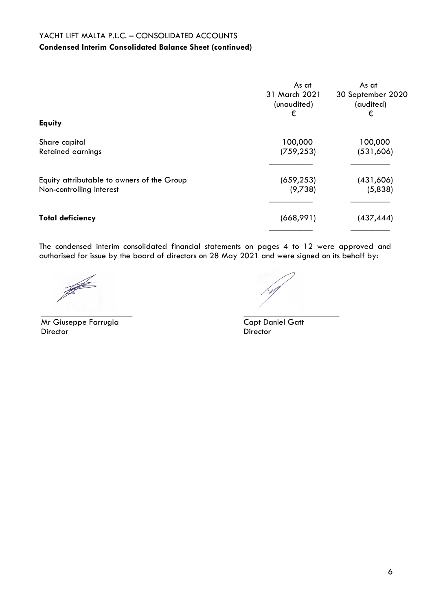# YACHT LIFT MALTA P.L.C. – CONSOLIDATED ACCOUNTS **Condensed Interim Consolidated Balance Sheet (continued)**

|                                                                        | As at<br>31 March 2021<br>(unaudited)<br>€ | As at<br>30 September 2020<br>(audited)<br>€ |
|------------------------------------------------------------------------|--------------------------------------------|----------------------------------------------|
| <b>Equity</b>                                                          |                                            |                                              |
| Share capital<br><b>Retained earnings</b>                              | 100,000<br>(759, 253)                      | 100,000<br>(531,606)                         |
| Equity attributable to owners of the Group<br>Non-controlling interest | (659, 253)<br>(9,738)                      | (431,606)<br>(5,838)                         |
| <b>Total deficiency</b>                                                | (668,991)                                  | (437, 444)                                   |

The condensed interim consolidated financial statements on pages 4 to 12 were approved and authorised for issue by the board of directors on 28 May 2021 and were signed on its behalf by:

**SARROW** 

Mr Giuseppe Farrugia Capt Daniel Gatt<br>Director Capt Director

 $\mathcal{P}^{\text{c}}$  , we have a set of  $\mathcal{P}^{\text{c}}$ 

Director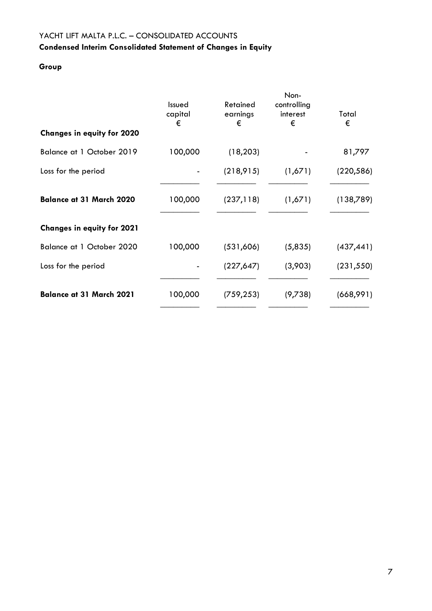# YACHT LIFT MALTA P.L.C. – CONSOLIDATED ACCOUNTS **Condensed Interim Consolidated Statement of Changes in Equity**

# **Group**

| <b>Changes in equity for 2020</b> | Issued<br>capital<br>€ | Retained<br>earnings<br>€ | Non-<br>controlling<br>interest<br>€ | Total<br>€ |
|-----------------------------------|------------------------|---------------------------|--------------------------------------|------------|
| Balance at 1 October 2019         | 100,000                | (18, 203)                 |                                      | 81,797     |
| Loss for the period               |                        | (218, 915)                | (1,671)                              | (220, 586) |
| <b>Balance at 31 March 2020</b>   | 100,000                | (237, 118)                | (1,671)                              | (138,789)  |
| <b>Changes in equity for 2021</b> |                        |                           |                                      |            |
| Balance at 1 October 2020         | 100,000                | (531,606)                 | (5,835)                              | (437, 441) |
| Loss for the period               |                        | (227, 647)                | (3,903)                              | (231, 550) |
| <b>Balance at 31 March 2021</b>   | 100,000                | (759, 253)                | (9,738)                              | (668,991)  |
|                                   |                        |                           |                                      |            |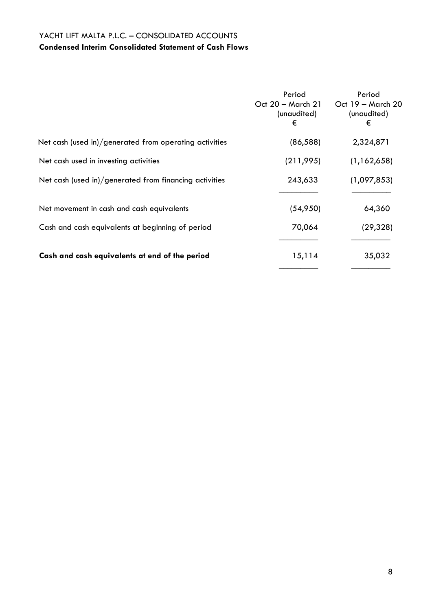# YACHT LIFT MALTA P.L.C. – CONSOLIDATED ACCOUNTS **Condensed Interim Consolidated Statement of Cash Flows**

|                                                        | Period<br>(unaudited)<br>€ | Period<br>Oct 20 - March 21   Oct 19 - March 20<br>(unaudited)<br>€ |
|--------------------------------------------------------|----------------------------|---------------------------------------------------------------------|
| Net cash (used in)/generated from operating activities | (86, 588)                  | 2,324,871                                                           |
| Net cash used in investing activities                  | (211, 995)                 | (1,162,658)                                                         |
| Net cash (used in)/generated from financing activities | 243,633                    | (1,097,853)                                                         |
| Net movement in cash and cash equivalents              | (54,950)                   | 64,360                                                              |
| Cash and cash equivalents at beginning of period       | 70,064                     | (29, 328)                                                           |
| Cash and cash equivalents at end of the period         | 15,114                     | 35,032                                                              |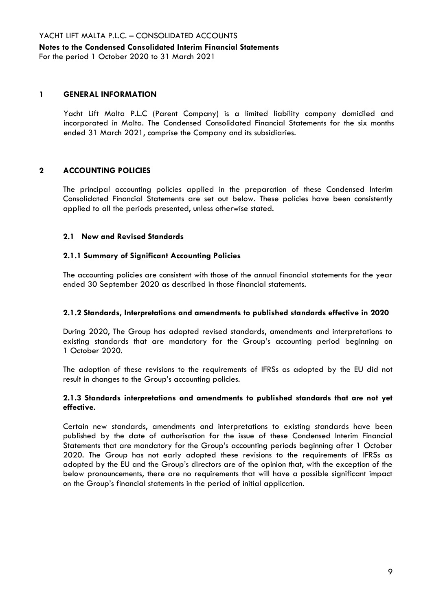# **Notes to the Condensed Consolidated Interim Financial Statements**

For the period 1 October 2020 to 31 March 2021

#### **1 GENERAL INFORMATION**

Yacht Lift Malta P.L.C (Parent Company) is a limited liability company domiciled and incorporated in Malta. The Condensed Consolidated Financial Statements for the six months ended 31 March 2021, comprise the Company and its subsidiaries.

# **2 ACCOUNTING POLICIES**

The principal accounting policies applied in the preparation of these Condensed Interim Consolidated Financial Statements are set out below. These policies have been consistently applied to all the periods presented, unless otherwise stated.

### **2.1 New and Revised Standards**

### **2.1.1 Summary of Significant Accounting Policies**

The accounting policies are consistent with those of the annual financial statements for the year ended 30 September 2020 as described in those financial statements.

#### **2.1.2 Standards, Interpretations and amendments to published standards effective in 2020**

During 2020, The Group has adopted revised standards, amendments and interpretations to existing standards that are mandatory for the Group's accounting period beginning on 1 October 2020.

The adoption of these revisions to the requirements of IFRSs as adopted by the EU did not result in changes to the Group's accounting policies.

### **2.1.3 Standards interpretations and amendments to published standards that are not yet effective**.

Certain new standards, amendments and interpretations to existing standards have been published by the date of authorisation for the issue of these Condensed Interim Financial Statements that are mandatory for the Group's accounting periods beginning after 1 October 2020. The Group has not early adopted these revisions to the requirements of IFRSs as adopted by the EU and the Group's directors are of the opinion that, with the exception of the below pronouncements, there are no requirements that will have a possible significant impact on the Group's financial statements in the period of initial application.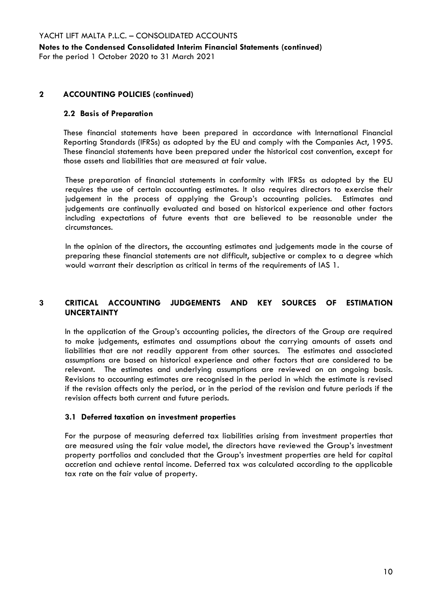**Notes to the Condensed Consolidated Interim Financial Statements (continued)** For the period 1 October 2020 to 31 March 2021

### **2 ACCOUNTING POLICIES (continued)**

#### **2.2 Basis of Preparation**

These financial statements have been prepared in accordance with International Financial Reporting Standards (IFRSs) as adopted by the EU and comply with the Companies Act, 1995. These financial statements have been prepared under the historical cost convention, except for those assets and liabilities that are measured at fair value.

These preparation of financial statements in conformity with IFRSs as adopted by the EU requires the use of certain accounting estimates. It also requires directors to exercise their judgement in the process of applying the Group's accounting policies. Estimates and judgements are continually evaluated and based on historical experience and other factors including expectations of future events that are believed to be reasonable under the circumstances.

In the opinion of the directors, the accounting estimates and judgements made in the course of preparing these financial statements are not difficult, subjective or complex to a degree which would warrant their description as critical in terms of the requirements of IAS 1.

# **3 CRITICAL ACCOUNTING JUDGEMENTS AND KEY SOURCES OF ESTIMATION UNCERTAINTY**

In the application of the Group's accounting policies, the directors of the Group are required to make judgements, estimates and assumptions about the carrying amounts of assets and liabilities that are not readily apparent from other sources. The estimates and associated assumptions are based on historical experience and other factors that are considered to be relevant. The estimates and underlying assumptions are reviewed on an ongoing basis. Revisions to accounting estimates are recognised in the period in which the estimate is revised if the revision affects only the period, or in the period of the revision and future periods if the revision affects both current and future periods.

#### **3.1 Deferred taxation on investment properties**

For the purpose of measuring deferred tax liabilities arising from investment properties that are measured using the fair value model, the directors have reviewed the Group's investment property portfolios and concluded that the Group's investment properties are held for capital accretion and achieve rental income. Deferred tax was calculated according to the applicable tax rate on the fair value of property.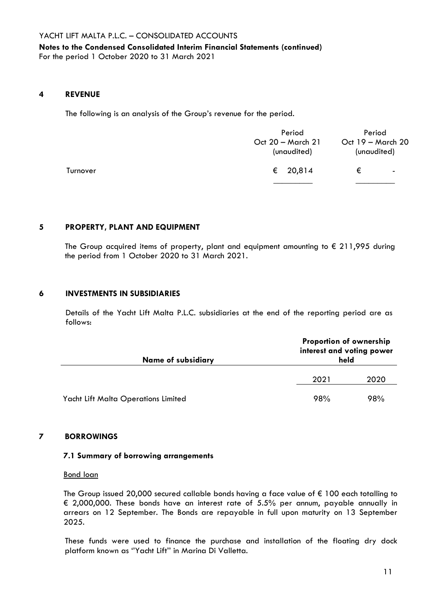# **Notes to the Condensed Consolidated Interim Financial Statements (continued)** For the period 1 October 2020 to 31 March 2021

#### **4 REVENUE**

The following is an analysis of the Group's revenue for the period.

|          | Period<br>Oct 20 - March 21<br>(unaudited) | Period<br>Oct 19 - March 20<br>(unaudited) |    |
|----------|--------------------------------------------|--------------------------------------------|----|
| Turnover | € 20,814                                   | €                                          | ۰. |
|          |                                            |                                            |    |

#### **5 PROPERTY, PLANT AND EQUIPMENT**

The Group acquired items of property, plant and equipment amounting to  $\epsilon$  211,995 during the period from 1 October 2020 to 31 March 2021.

#### **6 INVESTMENTS IN SUBSIDIARIES**

Details of the Yacht Lift Malta P.L.C. subsidiaries at the end of the reporting period are as follows:

| <b>Name of subsidiary</b>           | <b>Proportion of ownership</b><br>interest and voting power<br>held |      |
|-------------------------------------|---------------------------------------------------------------------|------|
|                                     | 2021                                                                | 2020 |
| Yacht Lift Malta Operations Limited | 98%                                                                 | 98%  |

# **7 BORROWINGS**

#### **7.1 Summary of borrowing arrangements**

#### Bond loan

The Group issued 20,000 secured callable bonds having a face value of € 100 each totalling to € 2,000,000. These bonds have an interest rate of 5.5% per annum, payable annually in arrears on 12 September. The Bonds are repayable in full upon maturity on 13 September 2025.

These funds were used to finance the purchase and installation of the floating dry dock platform known as ''Yacht Lift'' in Marina Di Valletta.